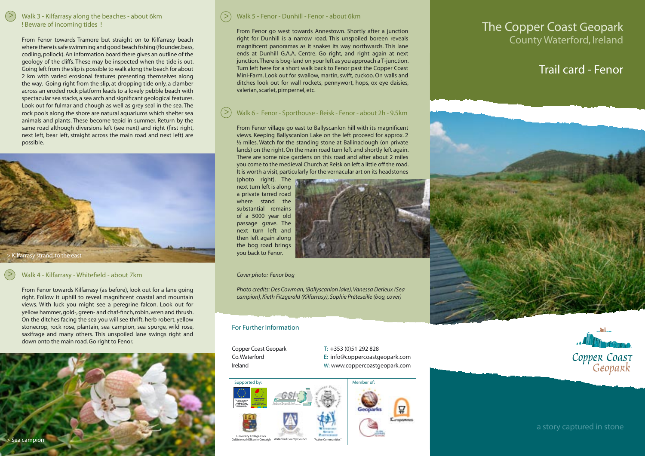## > Walk 3 - Kilfarrasy along the beaches - about 6km ! Beware of incoming tides !

From Fenor towards Tramore but straight on to Kilfarrasy beach where there is safe swimming and good beach fishing (flounder, bass, codling, pollock). An information board there gives an outline of the geology of the cliffs. These may be inspected when the tide is out. Going left from the slip is possible to walk along the beach for about 2 km with varied erosional features presenting themselves along the way. Going right from the slip, at dropping tide only, a clamber across an eroded rock platform leads to a lovely pebble beach with spectacular sea stacks, a sea arch and significant geological features. Look out for fulmar and chough as well as grey seal in the sea. The rock pools along the shore are natural aquariums which shelter sea animals and plants. These become tepid in summer. Return by the same road although diversions left (see next) and right (first right, next left, bear left, straight across the main road and next left) are possible.



## Walk 4 - Kilfarrasy - Whitefield - about 7km

 $\geq$ 

From Fenor towards Kilfarrasy (as before), look out for a lane going right. Follow it uphill to reveal magnificent coastal and mountain views. With luck you might see a peregrine falcon. Look out for yellow hammer, gold-, green- and chaf-finch, robin, wren and thrush. On the ditches facing the sea you will see thrift, herb robert, yellow stonecrop, rock rose, plantain, sea campion, sea spurge, wild rose, saxifrage and many others. This unspoiled lane swings right and down onto the main road. Go right to Fenor.



#### > Walk 5 - Fenor - Dunhill - Fenor - about 6km

From Fenor go west towards Annestown. Shortly after a junction right for Dunhill is a narrow road. This unspoiled boreen reveals magnificent panoramas as it snakes its way northwards. This lane ends at Dunhill G.A.A. Centre. Go right, and right again at next junction. There is bog-land on your left as you approach a T-junction. Turn left here for a short walk back to Fenor past the Copper Coast Mini-Farm. Look out for swallow, martin, swift, cuckoo. On walls and ditches look out for wall rockets, pennywort, hops, ox eye daisies, valerian, scarlet, pimpernel, etc.

#### > Walk 6 - Fenor - Sporthouse - Reisk - Fenor - about 2h - 9.5km

From Fenor village go east to Ballyscanlon hill with its magnificent views. Keeping Ballyscanlon Lake on the left proceed for approx. 2 ½ miles. Watch for the standing stone at Ballinaclough (on private lands) on the right. On the main road turn left and shortly left again. There are some nice gardens on this road and after about 2 miles you come to the medieval Church at Reisk on left a little off the road. It is worth a visit, particularly for the vernacular art on its headstones

(photo right). The next turn left is along a private tarred road where stand the substantial remains of a 5000 year old passage grave. The next turn left and then left again along the bog road brings you back to Fenor.

### *Cover photo: Fenor bog*

*Photo credits: Des Cowman, (Ballyscanlon lake), Vanessa Derieux (Sea campion), Kieth Fitzgerald (Kilfarrasy), Sophie Préteseille (bog, cover)*

### For Further Information

Copper Coast Geopark T: +353 (0)51 292 828 Co. Waterford E: info@coppercoastgeopark.com Ireland W: www.coppercoastgeopark.com



# The Copper Coast Geopark County Waterford, Ireland

# Trail card - Fenor





a story captured in stone